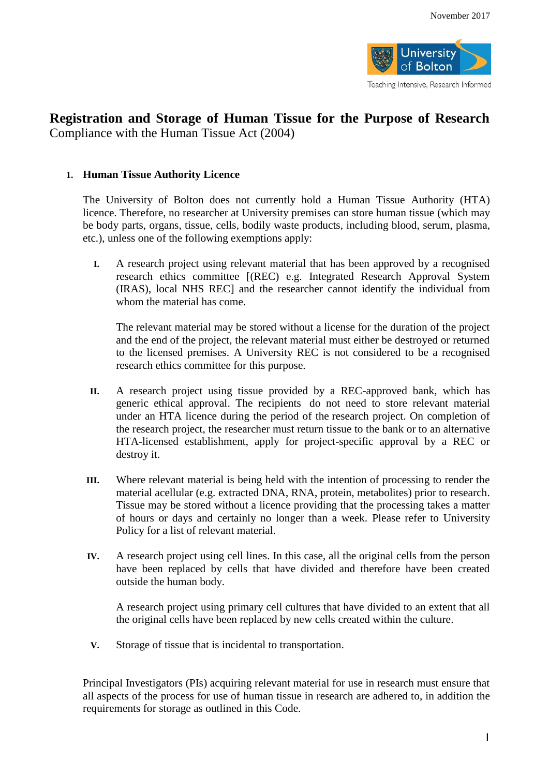

Teaching Intensive, Research Informed

# **Registration and Storage of Human Tissue for the Purpose of Research** Compliance with the Human Tissue Act (2004)

## **1. Human Tissue Authority Licence**

The University of Bolton does not currently hold a Human Tissue Authority (HTA) licence. Therefore, no researcher at University premises can store human tissue (which may be body parts, organs, tissue, cells, bodily waste products, including blood, serum, plasma, etc.), unless one of the following exemptions apply:

**I.** A research project using relevant material that has been approved by a recognised research ethics committee [(REC) e.g. Integrated Research Approval System (IRAS), local NHS REC] and the researcher cannot identify the individual from whom the material has come.

The relevant material may be stored without a license for the duration of the project and the end of the project, the relevant material must either be destroyed or returned to the licensed premises. A University REC is not considered to be a recognised research ethics committee for this purpose.

- **II.** A research project using tissue provided by a REC-approved bank, which has generic ethical approval. The recipients do not need to store relevant material under an HTA licence during the period of the research project. On completion of the research project, the researcher must return tissue to the bank or to an alternative HTA-licensed establishment, apply for project-specific approval by a REC or destroy it.
- **III.** Where relevant material is being held with the intention of processing to render the material acellular (e.g. extracted DNA, RNA, protein, metabolites) prior to research. Tissue may be stored without a licence providing that the processing takes a matter of hours or days and certainly no longer than a week. Please refer to University Policy for a list of relevant material.
- **IV.** A research project using cell lines. In this case, all the original cells from the person have been replaced by cells that have divided and therefore have been created outside the human body.

A research project using primary cell cultures that have divided to an extent that all the original cells have been replaced by new cells created within the culture.

**V.** Storage of tissue that is incidental to transportation.

Principal Investigators (PIs) acquiring relevant material for use in research must ensure that all aspects of the process for use of human tissue in research are adhered to, in addition the requirements for storage as outlined in this Code.